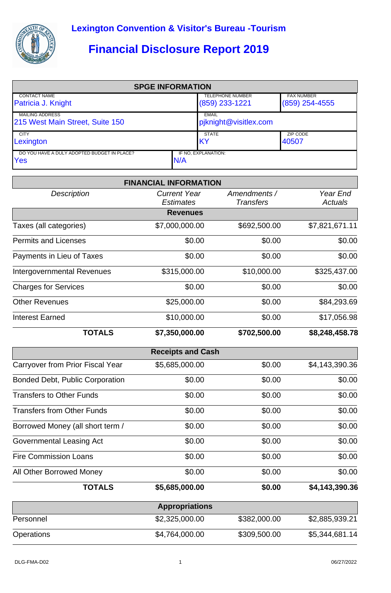

## **Financial Disclosure Report 2019**

| <b>SPGE INFORMATION</b>                                   |     |                                             |                                       |  |  |  |
|-----------------------------------------------------------|-----|---------------------------------------------|---------------------------------------|--|--|--|
| <b>CONTACT NAME</b><br>Patricia J. Knight                 |     | <b>TELEPHONE NUMBER</b><br>$(859)$ 233-1221 | <b>FAX NUMBER</b><br>$(859)$ 254-4555 |  |  |  |
| <b>MAILING ADDRESS</b><br>215 West Main Street, Suite 150 |     | <b>EMAIL</b><br>pjknight@visitlex.com       |                                       |  |  |  |
| <b>CITY</b><br>Lexington                                  |     | <b>STATE</b><br><b>IKY</b>                  | ZIP CODE<br>40507                     |  |  |  |
| DO YOU HAVE A DULY ADOPTED BUDGET IN PLACE?<br>Yes        | N/A | IF NO. EXPLANATION:                         |                                       |  |  |  |

|                                        | <b>FINANCIAL INFORMATION</b>            |                                  |                            |
|----------------------------------------|-----------------------------------------|----------------------------------|----------------------------|
| <b>Description</b>                     | <b>Current Year</b><br><b>Estimates</b> | Amendments /<br><b>Transfers</b> | Year End<br><b>Actuals</b> |
|                                        | <b>Revenues</b>                         |                                  |                            |
| Taxes (all categories)                 | \$7,000,000.00                          | \$692,500.00                     | \$7,821,671.11             |
| <b>Permits and Licenses</b>            | \$0.00                                  | \$0.00                           | \$0.00                     |
| Payments in Lieu of Taxes              | \$0.00                                  | \$0.00                           | \$0.00                     |
| <b>Intergovernmental Revenues</b>      | \$315,000.00                            | \$10,000.00                      | \$325,437.00               |
| <b>Charges for Services</b>            | \$0.00                                  | \$0.00                           | \$0.00                     |
| <b>Other Revenues</b>                  | \$25,000.00                             | \$0.00                           | \$84,293.69                |
| <b>Interest Earned</b>                 | \$10,000.00                             | \$0.00                           | \$17,056.98                |
| <b>TOTALS</b>                          | \$7,350,000.00                          | \$702,500.00                     | \$8,248,458.78             |
|                                        | <b>Receipts and Cash</b>                |                                  |                            |
| Carryover from Prior Fiscal Year       | \$5,685,000.00                          | \$0.00                           | \$4,143,390.36             |
| <b>Bonded Debt, Public Corporation</b> | \$0.00                                  | \$0.00                           | \$0.00                     |
| <b>Transfers to Other Funds</b>        | \$0.00                                  | \$0.00                           | \$0.00                     |
| <b>Transfers from Other Funds</b>      | \$0.00                                  | \$0.00                           | \$0.00                     |
| Borrowed Money (all short term /       | \$0.00                                  | \$0.00                           | \$0.00                     |
| Governmental Leasing Act               | \$0.00                                  | \$0.00                           | \$0.00                     |
| <b>Fire Commission Loans</b>           | \$0.00                                  | \$0.00                           | \$0.00                     |
| All Other Borrowed Money               | \$0.00                                  | \$0.00                           | \$0.00                     |
| <b>TOTALS</b>                          | \$5,685,000.00                          | \$0.00                           | \$4,143,390.36             |
|                                        | <b>Appropriations</b>                   |                                  |                            |
| Personnel                              | \$2,325,000.00                          | \$382,000.00                     | \$2,885,939.21             |
| Operations                             | \$4,764,000.00                          | \$309,500.00                     | \$5,344,681.14             |